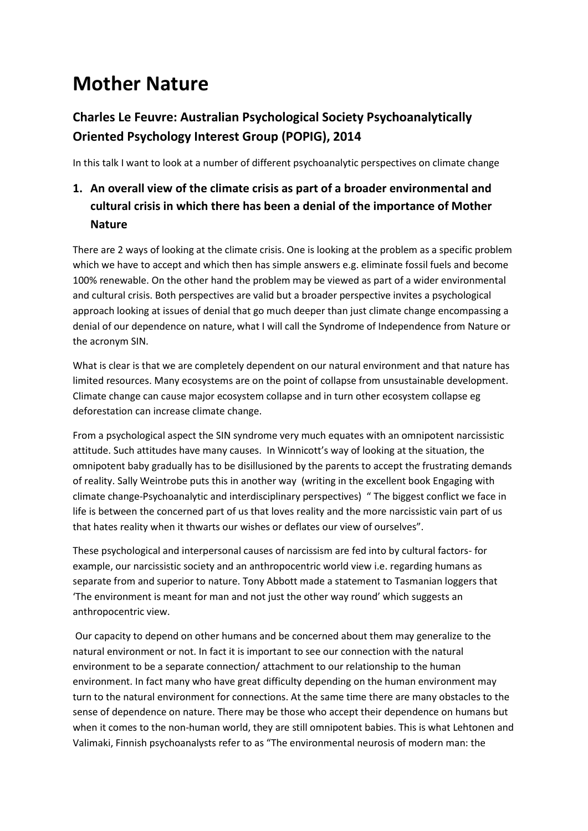# **Mother Nature**

# **Charles Le Feuvre: Australian Psychological Society Psychoanalytically Oriented Psychology Interest Group (POPIG), 2014**

In this talk I want to look at a number of different psychoanalytic perspectives on climate change

# **1. An overall view of the climate crisis as part of a broader environmental and cultural crisis in which there has been a denial of the importance of Mother Nature**

There are 2 ways of looking at the climate crisis. One is looking at the problem as a specific problem which we have to accept and which then has simple answers e.g. eliminate fossil fuels and become 100% renewable. On the other hand the problem may be viewed as part of a wider environmental and cultural crisis. Both perspectives are valid but a broader perspective invites a psychological approach looking at issues of denial that go much deeper than just climate change encompassing a denial of our dependence on nature, what I will call the Syndrome of Independence from Nature or the acronym SIN.

What is clear is that we are completely dependent on our natural environment and that nature has limited resources. Many ecosystems are on the point of collapse from unsustainable development. Climate change can cause major ecosystem collapse and in turn other ecosystem collapse eg deforestation can increase climate change.

From a psychological aspect the SIN syndrome very much equates with an omnipotent narcissistic attitude. Such attitudes have many causes. In Winnicott's way of looking at the situation, the omnipotent baby gradually has to be disillusioned by the parents to accept the frustrating demands of reality. Sally Weintrobe puts this in another way (writing in the excellent book Engaging with climate change-Psychoanalytic and interdisciplinary perspectives) " The biggest conflict we face in life is between the concerned part of us that loves reality and the more narcissistic vain part of us that hates reality when it thwarts our wishes or deflates our view of ourselves".

These psychological and interpersonal causes of narcissism are fed into by cultural factors- for example, our narcissistic society and an anthropocentric world view i.e. regarding humans as separate from and superior to nature. Tony Abbott made a statement to Tasmanian loggers that 'The environment is meant for man and not just the other way round' which suggests an anthropocentric view.

Our capacity to depend on other humans and be concerned about them may generalize to the natural environment or not. In fact it is important to see our connection with the natural environment to be a separate connection/ attachment to our relationship to the human environment. In fact many who have great difficulty depending on the human environment may turn to the natural environment for connections. At the same time there are many obstacles to the sense of dependence on nature. There may be those who accept their dependence on humans but when it comes to the non-human world, they are still omnipotent babies. This is what Lehtonen and Valimaki, Finnish psychoanalysts refer to as "The environmental neurosis of modern man: the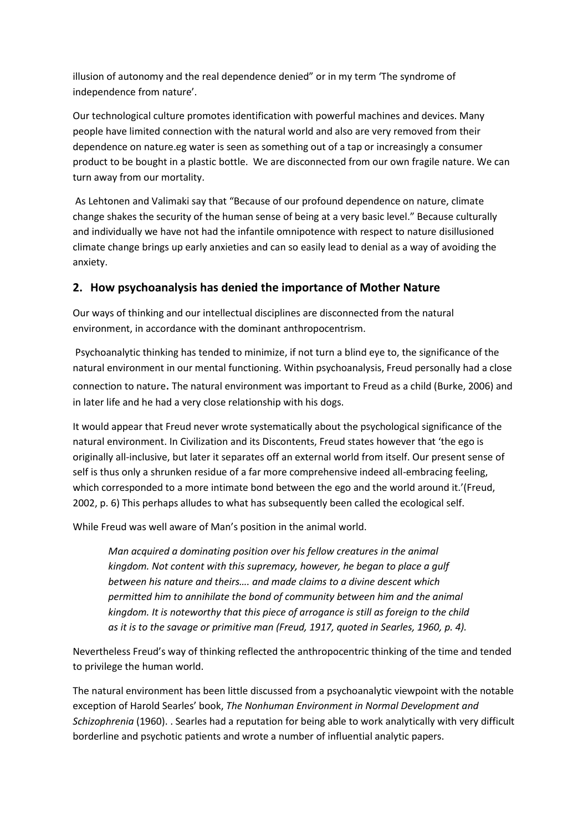illusion of autonomy and the real dependence denied" or in my term 'The syndrome of independence from nature'.

Our technological culture promotes identification with powerful machines and devices. Many people have limited connection with the natural world and also are very removed from their dependence on nature.eg water is seen as something out of a tap or increasingly a consumer product to be bought in a plastic bottle. We are disconnected from our own fragile nature. We can turn away from our mortality.

As Lehtonen and Valimaki say that "Because of our profound dependence on nature, climate change shakes the security of the human sense of being at a very basic level." Because culturally and individually we have not had the infantile omnipotence with respect to nature disillusioned climate change brings up early anxieties and can so easily lead to denial as a way of avoiding the anxiety.

### **2. How psychoanalysis has denied the importance of Mother Nature**

Our ways of thinking and our intellectual disciplines are disconnected from the natural environment, in accordance with the dominant anthropocentrism.

Psychoanalytic thinking has tended to minimize, if not turn a blind eye to, the significance of the natural environment in our mental functioning. Within psychoanalysis, Freud personally had a close connection to nature. The natural environment was important to Freud as a child (Burke, 2006) and in later life and he had a very close relationship with his dogs.

It would appear that Freud never wrote systematically about the psychological significance of the natural environment. In Civilization and its Discontents, Freud states however that 'the ego is originally all-inclusive, but later it separates off an external world from itself. Our present sense of self is thus only a shrunken residue of a far more comprehensive indeed all-embracing feeling, which corresponded to a more intimate bond between the ego and the world around it.'(Freud, 2002, p. 6) This perhaps alludes to what has subsequently been called the ecological self.

While Freud was well aware of Man's position in the animal world.

*Man acquired a dominating position over his fellow creatures in the animal kingdom. Not content with this supremacy, however, he began to place a gulf between his nature and theirs…. and made claims to a divine descent which permitted him to annihilate the bond of community between him and the animal kingdom. It is noteworthy that this piece of arrogance is still as foreign to the child as it is to the savage or primitive man (Freud, 1917, quoted in Searles, 1960, p. 4).*

Nevertheless Freud's way of thinking reflected the anthropocentric thinking of the time and tended to privilege the human world.

The natural environment has been little discussed from a psychoanalytic viewpoint with the notable exception of Harold Searles' book, *The Nonhuman Environment in Normal Development and Schizophrenia* (1960). . Searles had a reputation for being able to work analytically with very difficult borderline and psychotic patients and wrote a number of influential analytic papers.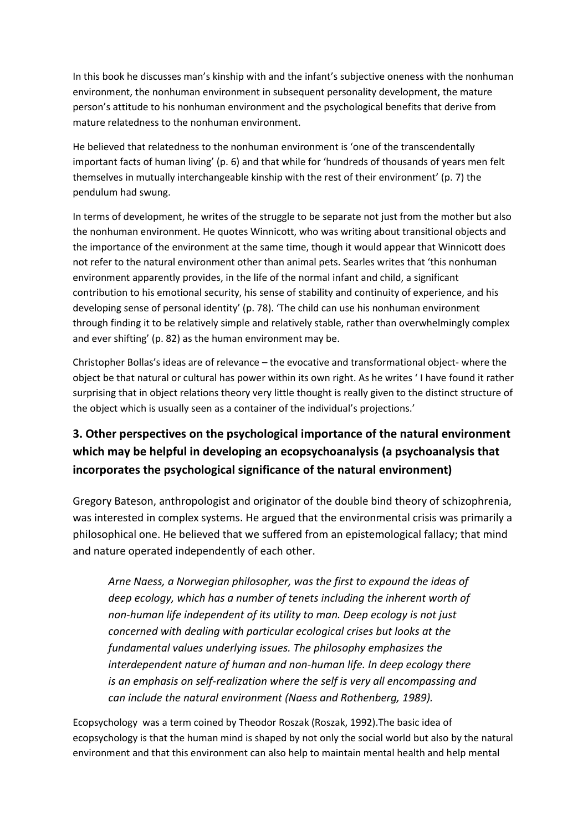In this book he discusses man's kinship with and the infant's subjective oneness with the nonhuman environment, the nonhuman environment in subsequent personality development, the mature person's attitude to his nonhuman environment and the psychological benefits that derive from mature relatedness to the nonhuman environment.

He believed that relatedness to the nonhuman environment is 'one of the transcendentally important facts of human living' (p. 6) and that while for 'hundreds of thousands of years men felt themselves in mutually interchangeable kinship with the rest of their environment' (p. 7) the pendulum had swung.

In terms of development, he writes of the struggle to be separate not just from the mother but also the nonhuman environment. He quotes Winnicott, who was writing about transitional objects and the importance of the environment at the same time, though it would appear that Winnicott does not refer to the natural environment other than animal pets. Searles writes that 'this nonhuman environment apparently provides, in the life of the normal infant and child, a significant contribution to his emotional security, his sense of stability and continuity of experience, and his developing sense of personal identity' (p. 78). 'The child can use his nonhuman environment through finding it to be relatively simple and relatively stable, rather than overwhelmingly complex and ever shifting' (p. 82) as the human environment may be.

Christopher Bollas's ideas are of relevance – the evocative and transformational object- where the object be that natural or cultural has power within its own right. As he writes ' I have found it rather surprising that in object relations theory very little thought is really given to the distinct structure of the object which is usually seen as a container of the individual's projections.'

# **3. Other perspectives on the psychological importance of the natural environment which may be helpful in developing an ecopsychoanalysis (a psychoanalysis that incorporates the psychological significance of the natural environment)**

Gregory Bateson, anthropologist and originator of the double bind theory of schizophrenia, was interested in complex systems. He argued that the environmental crisis was primarily a philosophical one. He believed that we suffered from an epistemological fallacy; that mind and nature operated independently of each other.

*Arne Naess, a Norwegian philosopher, was the first to expound the ideas of deep ecology, which has a number of tenets including the inherent worth of non-human life independent of its utility to man. Deep ecology is not just concerned with dealing with particular ecological crises but looks at the fundamental values underlying issues. The philosophy emphasizes the interdependent nature of human and non-human life. In deep ecology there is an emphasis on self-realization where the self is very all encompassing and can include the natural environment (Naess and Rothenberg, 1989).*

Ecopsychology was a term coined by Theodor Roszak (Roszak, 1992).The basic idea of ecopsychology is that the human mind is shaped by not only the social world but also by the natural environment and that this environment can also help to maintain mental health and help mental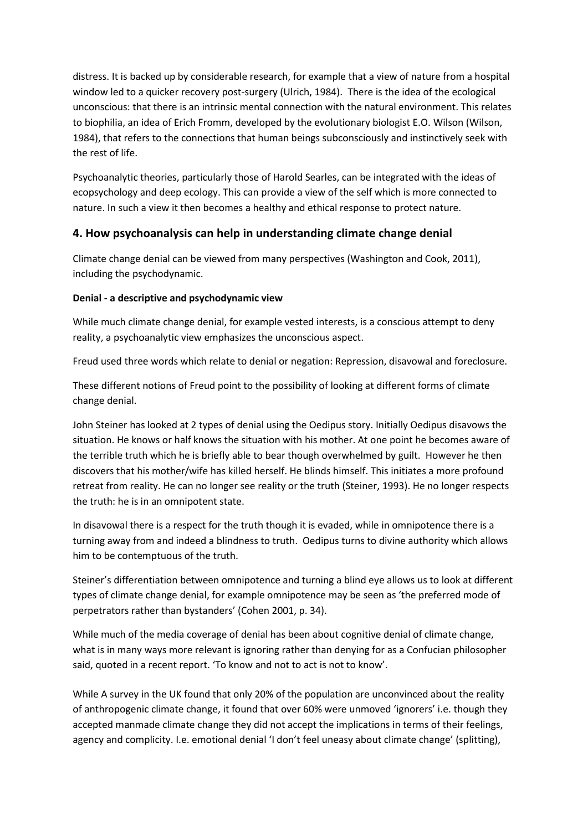distress. It is backed up by considerable research, for example that a view of nature from a hospital window led to a quicker recovery post-surgery (Ulrich, 1984). There is the idea of the ecological unconscious: that there is an intrinsic mental connection with the natural environment. This relates to biophilia, an idea of Erich Fromm, developed by the evolutionary biologist E.O. Wilson (Wilson, 1984), that refers to the connections that human beings subconsciously and instinctively seek with the rest of life.

Psychoanalytic theories, particularly those of Harold Searles, can be integrated with the ideas of ecopsychology and deep ecology. This can provide a view of the self which is more connected to nature. In such a view it then becomes a healthy and ethical response to protect nature.

## **4. How psychoanalysis can help in understanding climate change denial**

Climate change denial can be viewed from many perspectives (Washington and Cook, 2011), including the psychodynamic.

#### **Denial - a descriptive and psychodynamic view**

While much climate change denial, for example vested interests, is a conscious attempt to deny reality, a psychoanalytic view emphasizes the unconscious aspect.

Freud used three words which relate to denial or negation: Repression, disavowal and foreclosure.

These different notions of Freud point to the possibility of looking at different forms of climate change denial.

John Steiner has looked at 2 types of denial using the Oedipus story. Initially Oedipus disavows the situation. He knows or half knows the situation with his mother. At one point he becomes aware of the terrible truth which he is briefly able to bear though overwhelmed by guilt. However he then discovers that his mother/wife has killed herself. He blinds himself. This initiates a more profound retreat from reality. He can no longer see reality or the truth (Steiner, 1993). He no longer respects the truth: he is in an omnipotent state.

In disavowal there is a respect for the truth though it is evaded, while in omnipotence there is a turning away from and indeed a blindness to truth. Oedipus turns to divine authority which allows him to be contemptuous of the truth.

Steiner's differentiation between omnipotence and turning a blind eye allows us to look at different types of climate change denial, for example omnipotence may be seen as 'the preferred mode of perpetrators rather than bystanders' (Cohen 2001, p. 34).

While much of the media coverage of denial has been about cognitive denial of climate change, what is in many ways more relevant is ignoring rather than denying for as a Confucian philosopher said, quoted in a recent report. 'To know and not to act is not to know'.

While A survey in the UK found that only 20% of the population are unconvinced about the reality of anthropogenic climate change, it found that over 60% were unmoved 'ignorers' i.e. though they accepted manmade climate change they did not accept the implications in terms of their feelings, agency and complicity. I.e. emotional denial 'I don't feel uneasy about climate change' (splitting),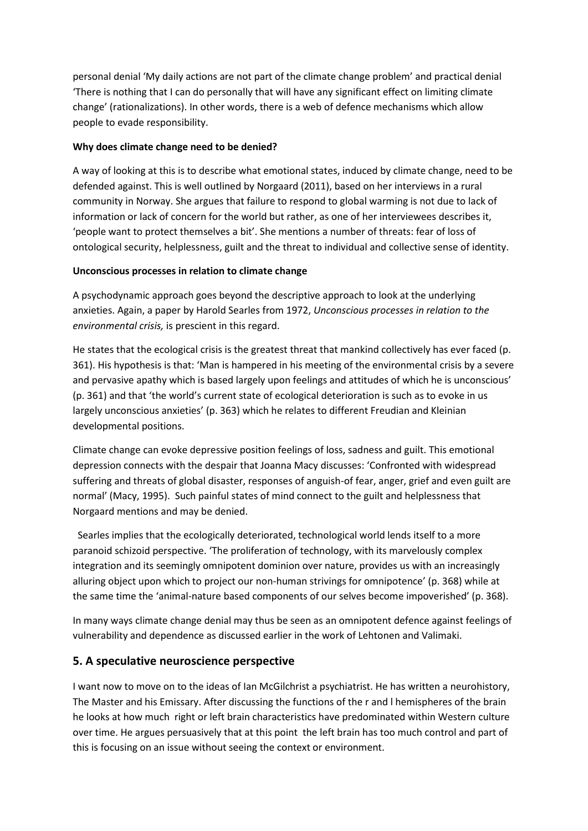personal denial 'My daily actions are not part of the climate change problem' and practical denial 'There is nothing that I can do personally that will have any significant effect on limiting climate change' (rationalizations). In other words, there is a web of defence mechanisms which allow people to evade responsibility.

#### **Why does climate change need to be denied?**

A way of looking at this is to describe what emotional states, induced by climate change, need to be defended against. This is well outlined by Norgaard (2011), based on her interviews in a rural community in Norway. She argues that failure to respond to global warming is not due to lack of information or lack of concern for the world but rather, as one of her interviewees describes it, 'people want to protect themselves a bit'. She mentions a number of threats: fear of loss of ontological security, helplessness, guilt and the threat to individual and collective sense of identity.

#### **Unconscious processes in relation to climate change**

A psychodynamic approach goes beyond the descriptive approach to look at the underlying anxieties. Again, a paper by Harold Searles from 1972, *Unconscious processes in relation to the environmental crisis,* is prescient in this regard.

He states that the ecological crisis is the greatest threat that mankind collectively has ever faced (p. 361). His hypothesis is that: 'Man is hampered in his meeting of the environmental crisis by a severe and pervasive apathy which is based largely upon feelings and attitudes of which he is unconscious' (p. 361) and that 'the world's current state of ecological deterioration is such as to evoke in us largely unconscious anxieties' (p. 363) which he relates to different Freudian and Kleinian developmental positions.

Climate change can evoke depressive position feelings of loss, sadness and guilt. This emotional depression connects with the despair that Joanna Macy discusses: 'Confronted with widespread suffering and threats of global disaster, responses of anguish-of fear, anger, grief and even guilt are normal' (Macy, 1995). Such painful states of mind connect to the guilt and helplessness that Norgaard mentions and may be denied.

 Searles implies that the ecologically deteriorated, technological world lends itself to a more paranoid schizoid perspective. 'The proliferation of technology, with its marvelously complex integration and its seemingly omnipotent dominion over nature, provides us with an increasingly alluring object upon which to project our non-human strivings for omnipotence' (p. 368) while at the same time the 'animal-nature based components of our selves become impoverished' (p. 368).

In many ways climate change denial may thus be seen as an omnipotent defence against feelings of vulnerability and dependence as discussed earlier in the work of Lehtonen and Valimaki.

### **5. A speculative neuroscience perspective**

I want now to move on to the ideas of Ian McGilchrist a psychiatrist. He has written a neurohistory, The Master and his Emissary. After discussing the functions of the r and l hemispheres of the brain he looks at how much right or left brain characteristics have predominated within Western culture over time. He argues persuasively that at this point the left brain has too much control and part of this is focusing on an issue without seeing the context or environment.